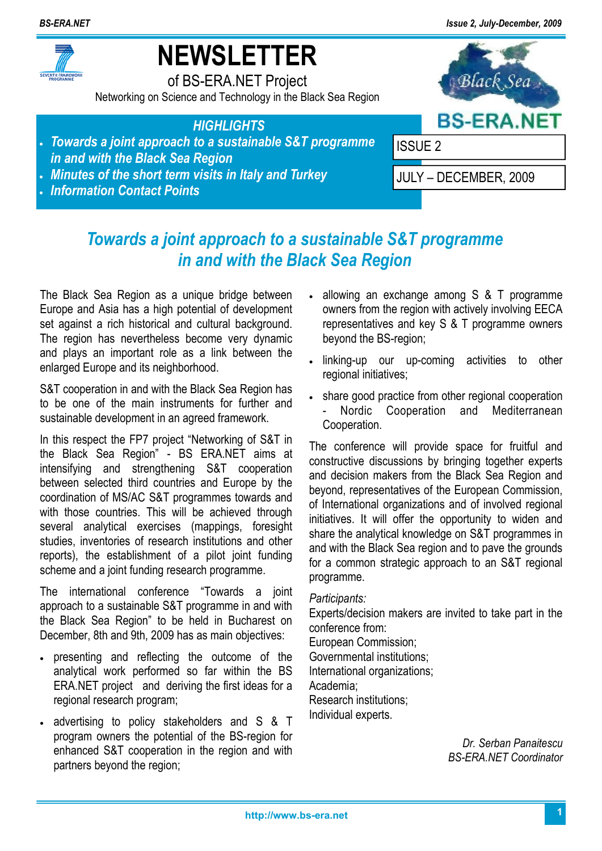

# **NEWSLETTER**

of BS-ERA.NET Project Networking on Science and Technology in the Black Sea Region



- *HIGHLIGHTS*  • *Towards a joint approach to a sustainable S&T programme*
- *in and with the Black Sea Region*
- *Minutes of the short term visits in Italy and Turkey*
- *Information Contact Points*



### *Towards a joint approach to a sustainable S&T programme in and with the Black Sea Region*

The Black Sea Region as a unique bridge between Europe and Asia has a high potential of development set against a rich historical and cultural background. The region has nevertheless become very dynamic and plays an important role as a link between the enlarged Europe and its neighborhood.

S&T cooperation in and with the Black Sea Region has to be one of the main instruments for further and sustainable development in an agreed framework.

In this respect the FP7 project "Networking of S&T in the Black Sea Region" - BS ERA.NET aims at intensifying and strengthening S&T cooperation between selected third countries and Europe by the coordination of MS/AC S&T programmes towards and with those countries. This will be achieved through several analytical exercises (mappings, foresight studies, inventories of research institutions and other reports), the establishment of a pilot joint funding scheme and a joint funding research programme.

The international conference "Towards a joint approach to a sustainable S&T programme in and with the Black Sea Region" to be held in Bucharest on December, 8th and 9th, 2009 has as main objectives:

- presenting and reflecting the outcome of the analytical work performed so far within the BS ERA.NET project and deriving the first ideas for a regional research program;
- advertising to policy stakeholders and S & T program owners the potential of the BS-region for enhanced S&T cooperation in the region and with partners beyond the region;
- allowing an exchange among S & T programme owners from the region with actively involving EECA representatives and key S & T programme owners beyond the BS-region;
- linking-up our up-coming activities to other regional initiatives;
- share good practice from other regional cooperation Nordic Cooperation and Mediterranean Cooperation.

The conference will provide space for fruitful and constructive discussions by bringing together experts and decision makers from the Black Sea Region and beyond, representatives of the European Commission, of International organizations and of involved regional initiatives. It will offer the opportunity to widen and share the analytical knowledge on S&T programmes in and with the Black Sea region and to pave the grounds for a common strategic approach to an S&T regional programme.

### *Participants:*

Experts/decision makers are invited to take part in the conference from:

European Commission;

Governmental institutions; International organizations;

Academia;

Research institutions; Individual experts.

> *Dr. Serban Panaitescu BS-ERA.NET Coordinator*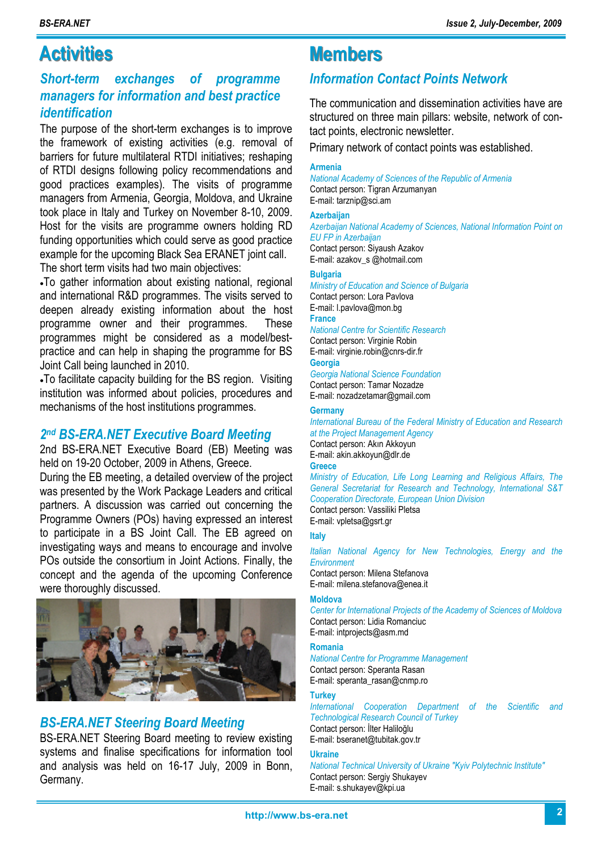### **Activities Members**

### *Short-term exchanges of programme managers for information and best practice identification*

The purpose of the short-term exchanges is to improve the framework of existing activities (e.g. removal of barriers for future multilateral RTDI initiatives; reshaping of RTDI designs following policy recommendations and good practices examples). The visits of programme managers from Armenia, Georgia, Moldova, and Ukraine took place in Italy and Turkey on November 8-10, 2009. Host for the visits are programme owners holding RD funding opportunities which could serve as good practice example for the upcoming Black Sea ERANET joint call. The short term visits had two main objectives:

•To gather information about existing national, regional and international R&D programmes. The visits served to deepen already existing information about the host programme owner and their programmes. These programmes might be considered as a model/bestpractice and can help in shaping the programme for BS Joint Call being launched in 2010.

•To facilitate capacity building for the BS region. Visiting institution was informed about policies, procedures and mechanisms of the host institutions programmes.

#### *2 nd BS-ERA.NET Executive Board Meeting*

2nd BS-ERA.NET Executive Board (EB) Meeting was held on 19-20 October, 2009 in Athens, Greece.

During the EB meeting, a detailed overview of the project was presented by the Work Package Leaders and critical partners. A discussion was carried out concerning the Programme Owners (POs) having expressed an interest to participate in a BS Joint Call. The EB agreed on investigating ways and means to encourage and involve POs outside the consortium in Joint Actions. Finally, the concept and the agenda of the upcoming Conference were thoroughly discussed.



### *BS-ERA.NET Steering Board Meeting*

BS-ERA.NET Steering Board meeting to review existing systems and finalise specifications for information tool and analysis was held on 16-17 July, 2009 in Bonn, Germany.

### *Information Contact Points Network*

The communication and dissemination activities have are structured on three main pillars: website, network of contact points, electronic newsletter.

Primary network of contact points was established.

#### **Armenia**

*National Academy of Sciences of the Republic of Armenia* Contact person: Tigran Arzumanyan E-mail: tarznip@sci.am

#### **Azerbaijan**

*Azerbaijan National Academy of Sciences, National Information Point on EU FP in Azerbaijan* Contact person: Siyaush Azakov E-mail: azakov\_s @hotmail.com

#### **Bulgaria**

*Ministry of Education and Science of Bulgaria*  Contact person: Lora Pavlova E-mail: l.pavlova@mon.bg **France**  *National Centre for Scientific Research*  Contact person: Virginie Robin

#### E-mail: virginie.robin@cnrs-dir.fr

**Georgia**  *Georgia National Science Foundation* 

Contact person: Tamar Nozadze E-mail: nozadzetamar@gmail.com

#### **Germany**

*International Bureau of the Federal Ministry of Education and Research at the Project Management Agency*  Contact person: Akın Akkoyun E-mail: akin.akkoyun@dlr.de **Greece**  *Ministry of Education, Life Long Learning and Religious Affairs, The General Secretariat for Research and Technology, International S&T* 

*Cooperation Directorate, European Union Division* 

Contact person: Vassiliki Pletsa E-mail: vpletsa@gsrt.gr

#### **Italy**

*Italian National Agency for New Technologies, Energy and the Environment* 

Contact person: Milena Stefanova E-mail: milena.stefanova@enea.it

#### **Moldova**

*Center for International Projects of the Academy of Sciences of Moldova*  Contact person: Lidia Romanciuc E-mail: intprojects@asm.md

#### **Romania**

*National Centre for Programme Management*  Contact person: Speranta Rasan E-mail: speranta\_rasan@cnmp.ro

#### **Turkey**

*International Cooperation Department of the Scientific and Technological Research Council of Turkey*  Contact person: İlter Haliloğlu E-mail: bseranet@tubitak.gov.tr

#### **Ukraine**

*National Technical University of Ukraine "Kyiv Polytechnic Institute"*  Contact person: Sergiy Shukayev E-mail: s.shukayev@kpi.ua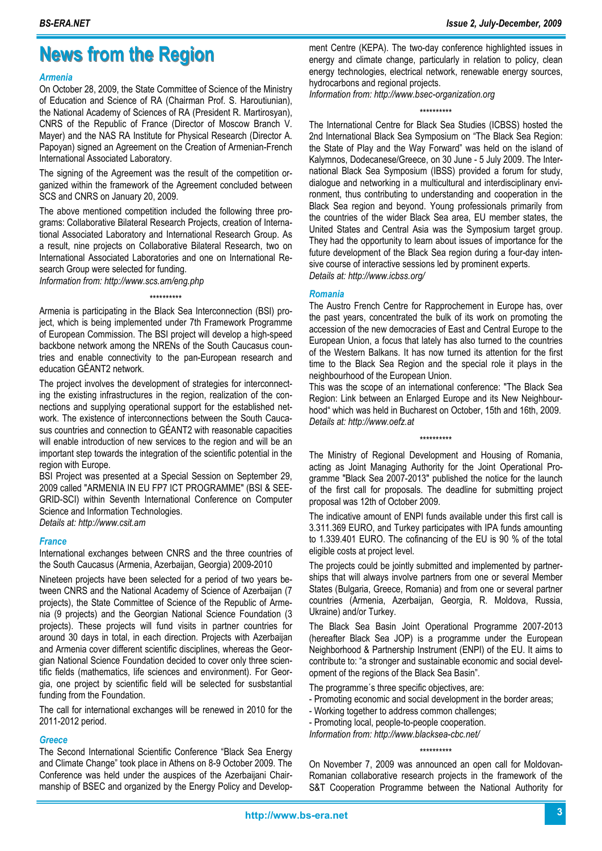## **News from the Region**

#### *Armenia*

On October 28, 2009, the State Committee of Science of the Ministry of Education and Science of RA (Chairman Prof. S. Haroutiunian), the National Academy of Sciences of RA (President R. Martirosyan), CNRS of the Republic of France (Director of Moscow Branch V. Mayer) and the NAS RA Institute for Physical Research (Director A. Papoyan) signed an Agreement on the Creation of Armenian-French International Associated Laboratory.

The signing of the Agreement was the result of the competition organized within the framework of the Agreement concluded between SCS and CNRS on January 20, 2009.

The above mentioned competition included the following three programs: Collaborative Bilateral Research Projects, creation of International Associated Laboratory and International Research Group. As a result, nine projects on Collaborative Bilateral Research, two on International Associated Laboratories and one on International Research Group were selected for funding.

*Information from: http://www.scs.am/eng.php* 

#### \*\*\*\*\*\*\*\*\*\*

Armenia is participating in the Black Sea Interconnection (BSI) project, which is being implemented under 7th Framework Programme of European Commission. The BSI project will develop a high-speed backbone network among the NRENs of the South Caucasus countries and enable connectivity to the pan-European research and education GÉANT2 network.

The project involves the development of strategies for interconnecting the existing infrastructures in the region, realization of the connections and supplying operational support for the established network. The existence of interconnections between the South Caucasus countries and connection to GÉANT2 with reasonable capacities will enable introduction of new services to the region and will be an important step towards the integration of the scientific potential in the region with Europe.

BSI Project was presented at a Special Session on September 29, 2009 called "ARMENIA IN EU FP7 ICT PROGRAMME" (BSI & SEE-GRID-SCI) within Seventh International Conference on Computer Science and Information Technologies.

*Details at: http://www.csit.am* 

#### *France*

International exchanges between CNRS and the three countries of the South Caucasus (Armenia, Azerbaijan, Georgia) 2009-2010

Nineteen projects have been selected for a period of two years between CNRS and the National Academy of Science of Azerbaijan (7 projects), the State Committee of Science of the Republic of Armenia (9 projects) and the Georgian National Science Foundation (3 projects). These projects will fund visits in partner countries for around 30 days in total, in each direction. Projects with Azerbaijan and Armenia cover different scientific disciplines, whereas the Georgian National Science Foundation decided to cover only three scientific fields (mathematics, life sciences and environment). For Georgia, one project by scientific field will be selected for susbstantial funding from the Foundation.

The call for international exchanges will be renewed in 2010 for the 2011-2012 period.

#### *Greece*

The Second International Scientific Conference "Black Sea Energy and Climate Change" took place in Athens on 8-9 October 2009. The Conference was held under the auspices of the Azerbaijani Chairmanship of BSEC and organized by the Energy Policy and Development Centre (KEPA). The two-day conference highlighted issues in energy and climate change, particularly in relation to policy, clean energy technologies, electrical network, renewable energy sources, hydrocarbons and regional projects.

*Information from: http://www.bsec-organization.org* 

#### \*\*\*\*\*\*\*\*\*\*

The International Centre for Black Sea Studies (ICBSS) hosted the 2nd International Black Sea Symposium on "The Black Sea Region: the State of Play and the Way Forward" was held on the island of Kalymnos, Dodecanese/Greece, on 30 June - 5 July 2009. The International Black Sea Symposium (IBSS) provided a forum for study, dialogue and networking in a multicultural and interdisciplinary environment, thus contributing to understanding and cooperation in the Black Sea region and beyond. Young professionals primarily from the countries of the wider Black Sea area, EU member states, the United States and Central Asia was the Symposium target group. They had the opportunity to learn about issues of importance for the future development of the Black Sea region during a four-day intensive course of interactive sessions led by prominent experts. *Details at: http://www.icbss.org/* 

*Romania*

The Austro French Centre for Rapprochement in Europe has, over the past years, concentrated the bulk of its work on promoting the accession of the new democracies of East and Central Europe to the European Union, a focus that lately has also turned to the countries of the Western Balkans. It has now turned its attention for the first time to the Black Sea Region and the special role it plays in the neighbourhood of the European Union.

This was the scope of an international conference: "The Black Sea Region: Link between an Enlarged Europe and its New Neighbourhood" which was held in Bucharest on October, 15th and 16th, 2009. *Details at: http://www.oefz.at* 

\*\*\*\*\*\*\*\*\*\*

The Ministry of Regional Development and Housing of Romania, acting as Joint Managing Authority for the Joint Operational Programme "Black Sea 2007-2013" published the notice for the launch of the first call for proposals. The deadline for submitting project proposal was 12th of October 2009.

The indicative amount of ENPI funds available under this first call is 3.311.369 EURO, and Turkey participates with IPA funds amounting to 1.339.401 EURO. The cofinancing of the EU is 90 % of the total eligible costs at project level.

The projects could be jointly submitted and implemented by partnerships that will always involve partners from one or several Member States (Bulgaria, Greece, Romania) and from one or several partner countries (Armenia, Azerbaijan, Georgia, R. Moldova, Russia, Ukraine) and/or Turkey.

The Black Sea Basin Joint Operational Programme 2007-2013 (hereafter Black Sea JOP) is a programme under the European Neighborhood & Partnership Instrument (ENPI) of the EU. It aims to contribute to: "a stronger and sustainable economic and social development of the regions of the Black Sea Basin".

The programme´s three specific objectives, are:

- Promoting economic and social development in the border areas;
- Working together to address common challenges;
- Promoting local, people-to-people cooperation.

*Information from: http://www.blacksea-cbc.net/* 

\*\*\*\*\*\*\*\*\*\*

On November 7, 2009 was announced an open call for Moldovan-Romanian collaborative research projects in the framework of the S&T Cooperation Programme between the National Authority for